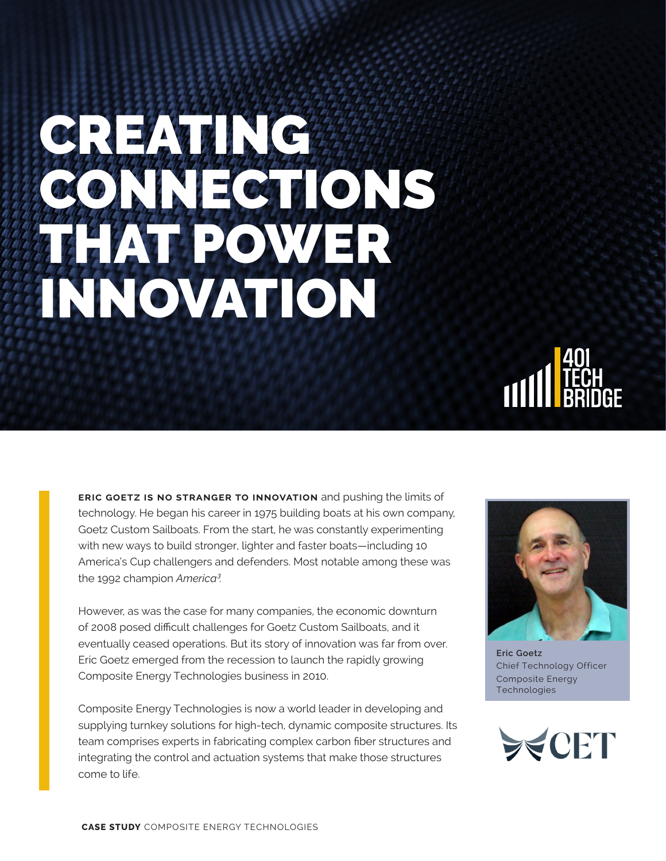# CREATING **NNECTIONS** THAT POWER INNOVATION



**eric goetz is no stranger to innovation** and pushing the limits of technology. He began his career in 1975 building boats at his own company, Goetz Custom Sailboats. From the start, he was constantly experimenting with new ways to build stronger, lighter and faster boats—including 10 America's Cup challengers and defenders. Most notable among these was the 1992 champion *America<sup>3</sup>* .

However, as was the case for many companies, the economic downturn of 2008 posed difficult challenges for Goetz Custom Sailboats, and it eventually ceased operations. But its story of innovation was far from over. Eric Goetz emerged from the recession to launch the rapidly growing Composite Energy Technologies business in 2010.

Composite Energy Technologies is now a world leader in developing and supplying turnkey solutions for high-tech, dynamic composite structures. Its team comprises experts in fabricating complex carbon fiber structures and integrating the control and actuation systems that make those structures come to life.



**Eric Goetz** Chief Technology Officer Composite Energy **Technologies** 

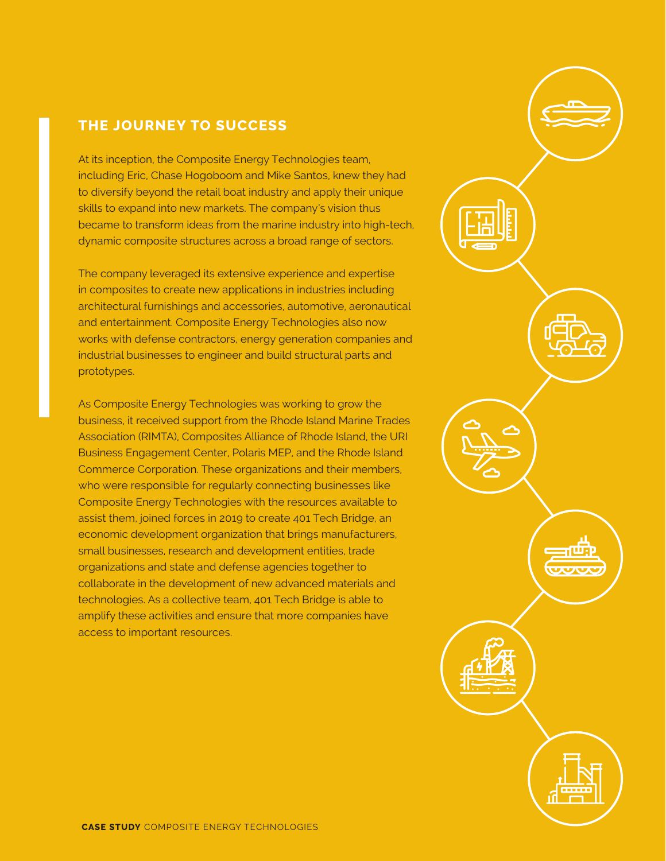## **THE JOURNEY TO SUCCESS**

At its inception, the Composite Energy Technologies team, including Eric, Chase Hogoboom and Mike Santos, knew they had to diversify beyond the retail boat industry and apply their unique skills to expand into new markets. The company's vision thus became to transform ideas from the marine industry into high-tech, dynamic composite structures across a broad range of sectors.

The company leveraged its extensive experience and expertise in composites to create new applications in industries including architectural furnishings and accessories, automotive, aeronautical and entertainment. Composite Energy Technologies also now works with defense contractors, energy generation companies and industrial businesses to engineer and build structural parts and prototypes.

As Composite Energy Technologies was working to grow the business, it received support from the Rhode Island Marine Trades Association (RIMTA), Composites Alliance of Rhode Island, the URI Business Engagement Center, Polaris MEP, and the Rhode Island Commerce Corporation. These organizations and their members, who were responsible for regularly connecting businesses like Composite Energy Technologies with the resources available to assist them, joined forces in 2019 to create 401 Tech Bridge, an economic development organization that brings manufacturers, small businesses, research and development entities, trade organizations and state and defense agencies together to collaborate in the development of new advanced materials and technologies. As a collective team, 401 Tech Bridge is able to amplify these activities and ensure that more companies have access to important resources.

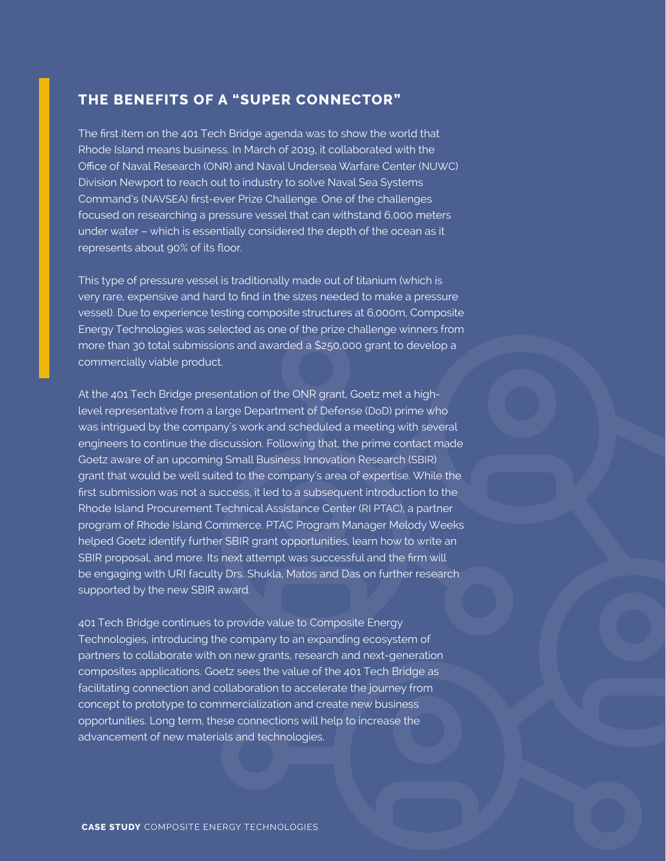## **THE BENEFITS OF A "SUPER CONNECTOR"**

The first item on the 401 Tech Bridge agenda was to show the world that Rhode Island means business. In March of 2019, it collaborated with the Office of Naval Research (ONR) and Naval Undersea Warfare Center (NUWC) Division Newport to reach out to industry to solve Naval Sea Systems Command's (NAVSEA) first-ever Prize Challenge. One of the challenges focused on researching a pressure vessel that can withstand 6,000 meters under water – which is essentially considered the depth of the ocean as it represents about 90% of its floor.

This type of pressure vessel is traditionally made out of titanium (which is very rare, expensive and hard to find in the sizes needed to make a pressure vessel). Due to experience testing composite structures at 6,000m, Composite Energy Technologies was selected as one of the prize challenge winners from more than 30 total submissions and awarded a \$250,000 grant to develop a commercially viable product.

At the 401 Tech Bridge presentation of the ONR grant, Goetz met a highlevel representative from a large Department of Defense (DoD) prime who was intrigued by the company's work and scheduled a meeting with several engineers to continue the discussion. Following that, the prime contact made Goetz aware of an upcoming Small Business Innovation Research (SBIR) grant that would be well suited to the company's area of expertise. While the first submission was not a success, it led to a subsequent introduction to the Rhode Island Procurement Technical Assistance Center (RI PTAC), a partner program of Rhode Island Commerce. PTAC Program Manager Melody Weeks helped Goetz identify further SBIR grant opportunities, learn how to write an SBIR proposal, and more. Its next attempt was successful and the firm will be engaging with URI faculty Drs. Shukla, Matos and Das on further research supported by the new SBIR award.

401 Tech Bridge continues to provide value to Composite Energy Technologies, introducing the company to an expanding ecosystem of partners to collaborate with on new grants, research and next-generation composites applications. Goetz sees the value of the 401 Tech Bridge as facilitating connection and collaboration to accelerate the journey from concept to prototype to commercialization and create new business opportunities. Long term, these connections will help to increase the advancement of new materials and technologies.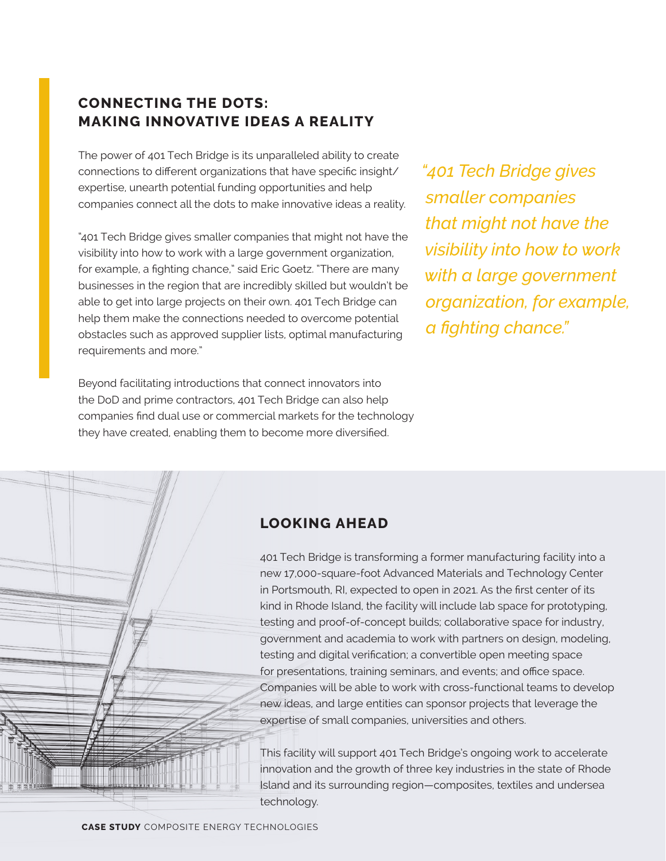# **CONNECTING THE DOTS: MAKING INNOVATIVE IDEAS A REALITY**

The power of 401 Tech Bridge is its unparalleled ability to create connections to different organizations that have specific insight/ expertise, unearth potential funding opportunities and help companies connect all the dots to make innovative ideas a reality.

"401 Tech Bridge gives smaller companies that might not have the visibility into how to work with a large government organization, for example, a fighting chance," said Eric Goetz. "There are many businesses in the region that are incredibly skilled but wouldn't be able to get into large projects on their own. 401 Tech Bridge can help them make the connections needed to overcome potential obstacles such as approved supplier lists, optimal manufacturing requirements and more."

Beyond facilitating introductions that connect innovators into the DoD and prime contractors, 401 Tech Bridge can also help companies find dual use or commercial markets for the technology they have created, enabling them to become more diversified.

*"401 Tech Bridge gives smaller companies that might not have the visibility into how to work with a large government organization, for example, a fighting chance."*

# **LOOKING AHEAD**

401 Tech Bridge is transforming a former manufacturing facility into a new 17,000-square-foot Advanced Materials and Technology Center in Portsmouth, RI, expected to open in 2021. As the first center of its kind in Rhode Island, the facility will include lab space for prototyping, testing and proof-of-concept builds; collaborative space for industry, government and academia to work with partners on design, modeling, testing and digital verification; a convertible open meeting space for presentations, training seminars, and events; and office space. Companies will be able to work with cross-functional teams to develop new ideas, and large entities can sponsor projects that leverage the expertise of small companies, universities and others.

This facility will support 401 Tech Bridge's ongoing work to accelerate innovation and the growth of three key industries in the state of Rhode Island and its surrounding region—composites, textiles and undersea technology.